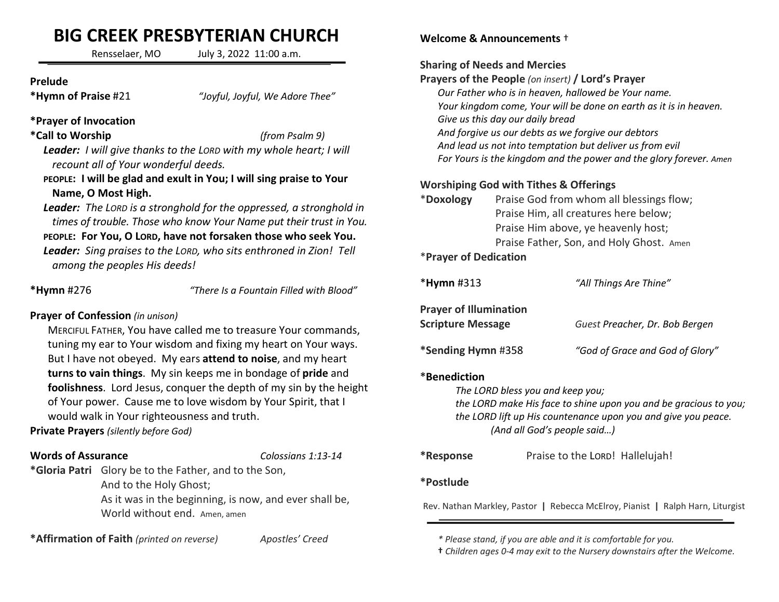# BIG CREEK PRESBYTERIAN CHURCH

Rensselaer, MO July 3, 2022 11:00 a.m.

#### Prelude

\*Hymn of Praise #21 "Joyful, Joyful, We Adore Thee"

## \*Prayer of Invocation

## \*Call to Worship (from Psalm 9)

Leader: I will give thanks to the LORD with my whole heart; I will recount all of Your wonderful deeds.

### PEOPLE: I will be glad and exult in You; I will sing praise to Your Name, O Most High.

Leader: The LORD is a stronghold for the oppressed, a stronghold in times of trouble. Those who know Your Name put their trust in You. PEOPLE: For You, O LORD, have not forsaken those who seek You. Leader: Sing praises to the LORD, who sits enthroned in Zion! Tell among the peoples His deeds!

\*Hymn #276 "There Is a Fountain Filled with Blood"

# Prayer of Confession (in unison)

MERCIFUL FATHER, You have called me to treasure Your commands, tuning my ear to Your wisdom and fixing my heart on Your ways. But I have not obeyed. My ears attend to noise, and my heart turns to vain things. My sin keeps me in bondage of pride and foolishness. Lord Jesus, conquer the depth of my sin by the height of Your power. Cause me to love wisdom by Your Spirit, that I would walk in Your righteousness and truth.

Private Prayers (silently before God)

## Words of Assurance Colossians 1:13-14

\*Gloria Patri Glory be to the Father, and to the Son, And to the Holy Ghost;

> As it was in the beginning, is now, and ever shall be, World without end. Amen, amen

\*Affirmation of Faith (printed on reverse) Apostles' Creed

## Welcome & Announcements †

#### Sharing of Needs and Mercies

Prayers of the People (on insert) / Lord's Prayer Our Father who is in heaven, hallowed be Your name. Your kingdom come, Your will be done on earth as it is in heaven. Give us this day our daily bread And forgive us our debts as we forgive our debtors And lead us not into temptation but deliver us from evil For Yours is the kingdom and the power and the glory forever. Amen

## Worshiping God with Tithes & Offerings

| *Doxology                | Praise God from whom all blessings flow; |  |
|--------------------------|------------------------------------------|--|
|                          | Praise Him, all creatures here below;    |  |
|                          | Praise Him above, ye heavenly host;      |  |
|                          | Praise Father, Son, and Holy Ghost. Amen |  |
| $*$ Daniel of Dedication |                                          |  |

## Prayer of Dedication

| $*$ Hymn#313                                              | "All Things Are Thine"          |
|-----------------------------------------------------------|---------------------------------|
| <b>Prayer of Illumination</b><br><b>Scripture Message</b> | Guest Preacher, Dr. Bob Bergen  |
| *Sending Hymn #358                                        | "God of Grace and God of Glory" |

## \*Benediction

The LORD bless you and keep you;

the LORD make His face to shine upon you and be gracious to you; the LORD lift up His countenance upon you and give you peace. (And all God's people said…)

## \*Response Praise to the LORD! Hallelujah!

## \*Postlude

Rev. Nathan Markley, Pastor | Rebecca McElroy, Pianist | Ralph Harn, Liturgist

 <sup>\*</sup> Please stand, if you are able and it is comfortable for you.

 <sup>†</sup> Children ages 0-4 may exit to the Nursery downstairs after the Welcome.